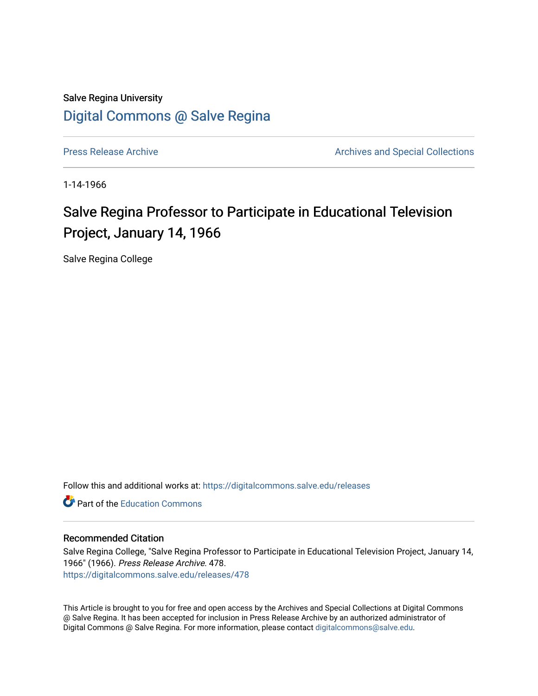## Salve Regina University [Digital Commons @ Salve Regina](https://digitalcommons.salve.edu/)

[Press Release Archive](https://digitalcommons.salve.edu/releases) **Archives** Archives and Special Collections

1-14-1966

# Salve Regina Professor to Participate in Educational Television Project, January 14, 1966

Salve Regina College

Follow this and additional works at: [https://digitalcommons.salve.edu/releases](https://digitalcommons.salve.edu/releases?utm_source=digitalcommons.salve.edu%2Freleases%2F478&utm_medium=PDF&utm_campaign=PDFCoverPages) 

**C** Part of the [Education Commons](http://network.bepress.com/hgg/discipline/784?utm_source=digitalcommons.salve.edu%2Freleases%2F478&utm_medium=PDF&utm_campaign=PDFCoverPages)

#### Recommended Citation

Salve Regina College, "Salve Regina Professor to Participate in Educational Television Project, January 14, 1966" (1966). Press Release Archive. 478. [https://digitalcommons.salve.edu/releases/478](https://digitalcommons.salve.edu/releases/478?utm_source=digitalcommons.salve.edu%2Freleases%2F478&utm_medium=PDF&utm_campaign=PDFCoverPages) 

This Article is brought to you for free and open access by the Archives and Special Collections at Digital Commons @ Salve Regina. It has been accepted for inclusion in Press Release Archive by an authorized administrator of Digital Commons @ Salve Regina. For more information, please contact [digitalcommons@salve.edu](mailto:digitalcommons@salve.edu).